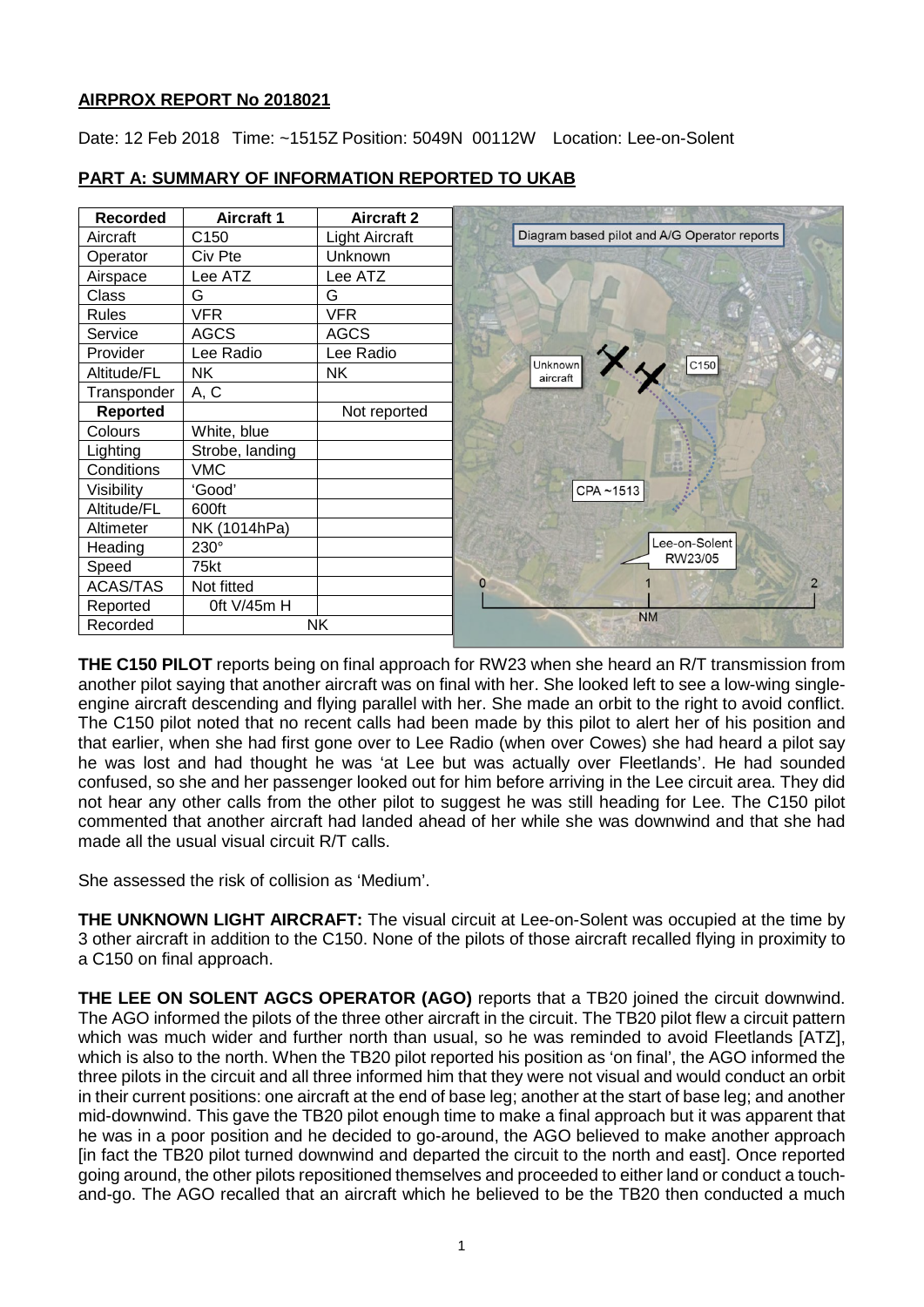# **AIRPROX REPORT No 2018021**

Date: 12 Feb 2018 Time: ~1515Z Position: 5049N 00112W Location: Lee-on-Solent

| <b>Recorded</b> | <b>Aircraft 1</b> | <b>Aircraft 2</b>     |                                              |
|-----------------|-------------------|-----------------------|----------------------------------------------|
| Aircraft        | C <sub>150</sub>  | <b>Light Aircraft</b> | Diagram based pilot and A/G Operator reports |
| Operator        | Civ Pte           | <b>Unknown</b>        |                                              |
| Airspace        | Lee ATZ           | Lee ATZ               |                                              |
| Class           | G                 | G                     |                                              |
| <b>Rules</b>    | <b>VFR</b>        | <b>VFR</b>            |                                              |
| Service         | <b>AGCS</b>       | <b>AGCS</b>           |                                              |
| Provider        | Lee Radio         | Lee Radio             |                                              |
| Altitude/FL     | <b>NK</b>         | <b>NK</b>             | C150<br>Unknown<br>aircraft                  |
| Transponder     | A, C              |                       |                                              |
| <b>Reported</b> |                   | Not reported          |                                              |
| Colours         | White, blue       |                       |                                              |
| Lighting        | Strobe, landing   |                       |                                              |
| Conditions      | <b>VMC</b>        |                       |                                              |
| Visibility      | 'Good'            |                       | CPA~1513                                     |
| Altitude/FL     | 600ft             |                       |                                              |
| Altimeter       | NK (1014hPa)      |                       |                                              |
| Heading         | 230°              |                       | Lee-on-Solent                                |
| Speed           | 75kt              |                       | RW23/05                                      |
| <b>ACAS/TAS</b> | Not fitted        |                       | O                                            |
| Reported        | 0ft V/45m H       |                       |                                              |
| Recorded        | NΚ                |                       | <b>NM</b>                                    |

# **PART A: SUMMARY OF INFORMATION REPORTED TO UKAB**

**THE C150 PILOT** reports being on final approach for RW23 when she heard an R/T transmission from another pilot saying that another aircraft was on final with her. She looked left to see a low-wing singleengine aircraft descending and flying parallel with her. She made an orbit to the right to avoid conflict. The C150 pilot noted that no recent calls had been made by this pilot to alert her of his position and that earlier, when she had first gone over to Lee Radio (when over Cowes) she had heard a pilot say he was lost and had thought he was 'at Lee but was actually over Fleetlands'. He had sounded confused, so she and her passenger looked out for him before arriving in the Lee circuit area. They did not hear any other calls from the other pilot to suggest he was still heading for Lee. The C150 pilot commented that another aircraft had landed ahead of her while she was downwind and that she had made all the usual visual circuit R/T calls.

She assessed the risk of collision as 'Medium'.

**THE UNKNOWN LIGHT AIRCRAFT:** The visual circuit at Lee-on-Solent was occupied at the time by 3 other aircraft in addition to the C150. None of the pilots of those aircraft recalled flying in proximity to a C150 on final approach.

**THE LEE ON SOLENT AGCS OPERATOR (AGO)** reports that a TB20 joined the circuit downwind. The AGO informed the pilots of the three other aircraft in the circuit. The TB20 pilot flew a circuit pattern which was much wider and further north than usual, so he was reminded to avoid Fleetlands [ATZ], which is also to the north. When the TB20 pilot reported his position as 'on final', the AGO informed the three pilots in the circuit and all three informed him that they were not visual and would conduct an orbit in their current positions: one aircraft at the end of base leg; another at the start of base leg; and another mid-downwind. This gave the TB20 pilot enough time to make a final approach but it was apparent that he was in a poor position and he decided to go-around, the AGO believed to make another approach [in fact the TB20 pilot turned downwind and departed the circuit to the north and east]. Once reported going around, the other pilots repositioned themselves and proceeded to either land or conduct a touchand-go. The AGO recalled that an aircraft which he believed to be the TB20 then conducted a much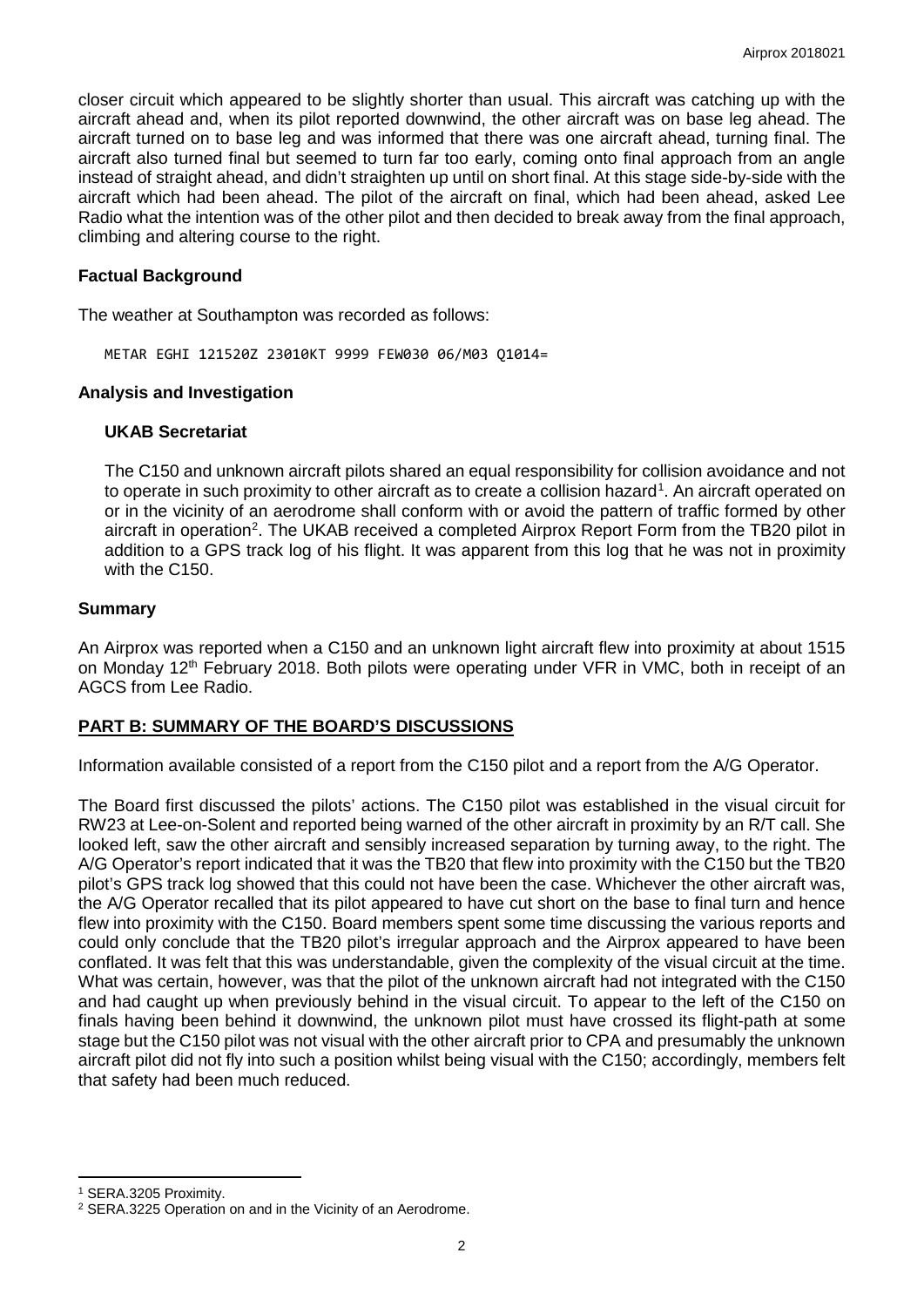closer circuit which appeared to be slightly shorter than usual. This aircraft was catching up with the aircraft ahead and, when its pilot reported downwind, the other aircraft was on base leg ahead. The aircraft turned on to base leg and was informed that there was one aircraft ahead, turning final. The aircraft also turned final but seemed to turn far too early, coming onto final approach from an angle instead of straight ahead, and didn't straighten up until on short final. At this stage side-by-side with the aircraft which had been ahead. The pilot of the aircraft on final, which had been ahead, asked Lee Radio what the intention was of the other pilot and then decided to break away from the final approach, climbing and altering course to the right.

## **Factual Background**

The weather at Southampton was recorded as follows:

METAR EGHI 121520Z 23010KT 9999 FEW030 06/M03 Q1014=

#### **Analysis and Investigation**

#### **UKAB Secretariat**

The C150 and unknown aircraft pilots shared an equal responsibility for collision avoidance and not to operate in such proximity to other aircraft as to create a collision hazard<sup>[1](#page-1-0)</sup>. An aircraft operated on or in the vicinity of an aerodrome shall conform with or avoid the pattern of traffic formed by other aircraft in operation<sup>2</sup>. The UKAB received a completed Airprox Report Form from the TB20 pilot in addition to a GPS track log of his flight. It was apparent from this log that he was not in proximity with the C150.

## **Summary**

An Airprox was reported when a C150 and an unknown light aircraft flew into proximity at about 1515 on Monday 12<sup>th</sup> February 2018. Both pilots were operating under VFR in VMC, both in receipt of an AGCS from Lee Radio.

# **PART B: SUMMARY OF THE BOARD'S DISCUSSIONS**

Information available consisted of a report from the C150 pilot and a report from the A/G Operator.

The Board first discussed the pilots' actions. The C150 pilot was established in the visual circuit for RW23 at Lee-on-Solent and reported being warned of the other aircraft in proximity by an R/T call. She looked left, saw the other aircraft and sensibly increased separation by turning away, to the right. The A/G Operator's report indicated that it was the TB20 that flew into proximity with the C150 but the TB20 pilot's GPS track log showed that this could not have been the case. Whichever the other aircraft was, the A/G Operator recalled that its pilot appeared to have cut short on the base to final turn and hence flew into proximity with the C150. Board members spent some time discussing the various reports and could only conclude that the TB20 pilot's irregular approach and the Airprox appeared to have been conflated. It was felt that this was understandable, given the complexity of the visual circuit at the time. What was certain, however, was that the pilot of the unknown aircraft had not integrated with the C150 and had caught up when previously behind in the visual circuit. To appear to the left of the C150 on finals having been behind it downwind, the unknown pilot must have crossed its flight-path at some stage but the C150 pilot was not visual with the other aircraft prior to CPA and presumably the unknown aircraft pilot did not fly into such a position whilst being visual with the C150; accordingly, members felt that safety had been much reduced.

l

<span id="page-1-0"></span><sup>1</sup> SERA.3205 Proximity.

<span id="page-1-1"></span><sup>2</sup> SERA.3225 Operation on and in the Vicinity of an Aerodrome.